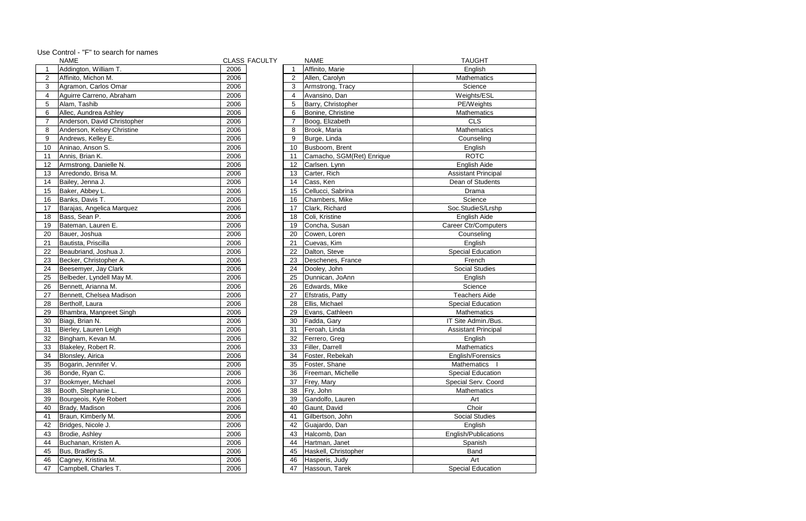Use Control - "F" to search for names

|                | <b>NAME</b>                              |      | <b>CLASS FACULTY</b> |                         | <b>NAME</b>               | <b>TAUGHT</b>               |
|----------------|------------------------------------------|------|----------------------|-------------------------|---------------------------|-----------------------------|
|                | Addington, William T.                    | 2006 |                      | -1                      | Affinito, Marie           | English                     |
| $\overline{2}$ | Affinito, Michon M.                      | 2006 |                      | 2                       | Allen, Carolyn            | Mathematics                 |
| 3              | Agramon, Carlos Omar                     | 2006 |                      | 3                       | Armstrong, Tracy          | Science                     |
| 4              | Aguirre Carreno, Abraham                 | 2006 |                      | $\overline{\mathbf{4}}$ | Avansino, Dan             | Weights/ESL                 |
| 5              | Alam, Tashib                             | 2006 |                      | 5                       | Barry, Christopher        | PE/Weights                  |
| 6              | Allec, Aundrea Ashley                    | 2006 |                      | 6                       | Bonine, Christine         | Mathematics                 |
| 7              | Anderson, David Christopher              | 2006 |                      | $\overline{7}$          | Boog, Elizabeth           | <b>CLS</b>                  |
| 8              | Anderson, Kelsey Christine               | 2006 |                      | 8                       | Brook, Maria              | Mathematics                 |
| 9              | Andrews, Kelley E.                       | 2006 |                      | $9\,$                   | Burge, Linda              | Counseling                  |
| 10             | Aninao, Anson S.                         | 2006 |                      | 10                      | Busboom, Brent            | English                     |
| 11             | Annis, Brian K.                          | 2006 |                      | 11                      | Camacho, SGM(Ret) Enrique | <b>ROTC</b>                 |
| 12             | Armstrong, Danielle N.                   | 2006 |                      | 12                      | Carlsen. Lynn             | English Aide                |
| 13             | Arredondo, Brisa M.                      | 2006 |                      | 13                      | Carter, Rich              | <b>Assistant Principal</b>  |
| 14             | Bailey, Jenna J.                         | 2006 |                      | 14                      | Cass, Ken                 | Dean of Students            |
| 15             | Baker, Abbey L.                          | 2006 |                      | 15                      | Cellucci, Sabrina         | Drama                       |
| 16             | Banks, Davis T.                          | 2006 |                      | 16                      | Chambers, Mike            | Science                     |
| 17             | Barajas, Angelica Marquez                | 2006 |                      | 17                      | Clark, Richard            | Soc.StudieS/Lrshp           |
| 18             | Bass, Sean P.                            | 2006 |                      | 18                      | Coli, Kristine            | English Aide                |
| 19             | Bateman, Lauren E.                       | 2006 |                      | 19                      | Concha, Susan             | <b>Career Ctr/Computers</b> |
| 20             | Bauer, Joshua                            | 2006 |                      | 20                      | Cowen, Loren              | Counseling                  |
| 21             | Bautista, Priscilla                      | 2006 |                      | 21                      | Cuevas, Kim               | English                     |
| 22             | Beaubriand, Joshua J.                    | 2006 |                      | 22                      | Dalton, Steve             | <b>Special Education</b>    |
| 23             | Becker, Christopher A.                   | 2006 |                      | 23                      | Deschenes, France         | French                      |
| 24             | Beesemyer, Jay Clark                     | 2006 |                      | 24                      | Dooley, John              | <b>Social Studies</b>       |
| 25             | Belbeder, Lyndell May M.                 | 2006 |                      | 25                      | Dunnican, JoAnn           | English                     |
| 26             | Bennett, Arianna M.                      | 2006 |                      | 26                      | Edwards, Mike             | Science                     |
| 27             | Bennett, Chelsea Madison                 | 2006 |                      | 27                      | Efstratis, Patty          | <b>Teachers Aide</b>        |
| 28             | Bertholf, Laura                          | 2006 |                      | 28                      | Ellis, Michael            | <b>Special Education</b>    |
| 29             | Bhambra, Manpreet Singh                  | 2006 |                      | 29                      | Evans, Cathleen           | Mathematics                 |
|                |                                          | 2006 |                      |                         |                           |                             |
| 30             | Biagi, Brian N.<br>Bierley, Lauren Leigh |      |                      | 30                      | Fadda, Gary               | IT Site Admin./Bus.         |
| 31             |                                          | 2006 |                      | 31                      | Feroah, Linda             | <b>Assistant Principal</b>  |
| 32             | Bingham, Kevan M.                        | 2006 |                      | 32                      | Ferrero, Greg             | English                     |
| 33             | Blakeley, Robert R.                      | 2006 |                      | 33                      | Filler, Darrell           | Mathematics                 |
| 34             | Blonsley, Airica                         | 2006 |                      | 34                      | Foster, Rebekah           | English/Forensics           |
| 35             | Bogarin, Jennifer V.                     | 2006 |                      | 35                      | Foster, Shane             | Mathematics                 |
| 36             | Bonde, Ryan C.                           | 2006 |                      | 36                      | Freeman, Michelle         | <b>Special Education</b>    |
| 37             | Bookmyer, Michael                        | 2006 |                      | 37                      | Frey, Mary                | Special Serv. Coord         |
| 38             | Booth, Stephanie L.                      | 2006 |                      | 38                      | Fry, John                 | Mathematics                 |
| 39             | Bourgeois, Kyle Robert                   | 2006 |                      | 39                      | Gandolfo, Lauren          | Art                         |
| 40             | Brady, Madison                           | 2006 |                      | 40                      | Gaunt, David              | Choir                       |
| 41             | Braun, Kimberly M.                       | 2006 |                      | 41                      | Gilbertson, John          | <b>Social Studies</b>       |
| 42             | Bridges, Nicole J.                       | 2006 |                      | 42                      | Guajardo, Dan             | English                     |
| 43             | Brodie, Ashley                           | 2006 |                      | 43                      | Halcomb, Dan              | English/Publications        |
| 44             | Buchanan, Kristen A.                     | 2006 |                      | 44                      | Hartman, Janet            | Spanish                     |
| 45             | Bus, Bradley S.                          | 2006 |                      | 45                      | Haskell, Christopher      | Band                        |
| 46             | Cagney, Kristina M.                      | 2006 |                      | 46                      | Hasperis, Judy            | Art                         |
| 47             | Campbell, Charles T.                     | 2006 |                      | 47                      | Hassoun, Tarek            | <b>Special Education</b>    |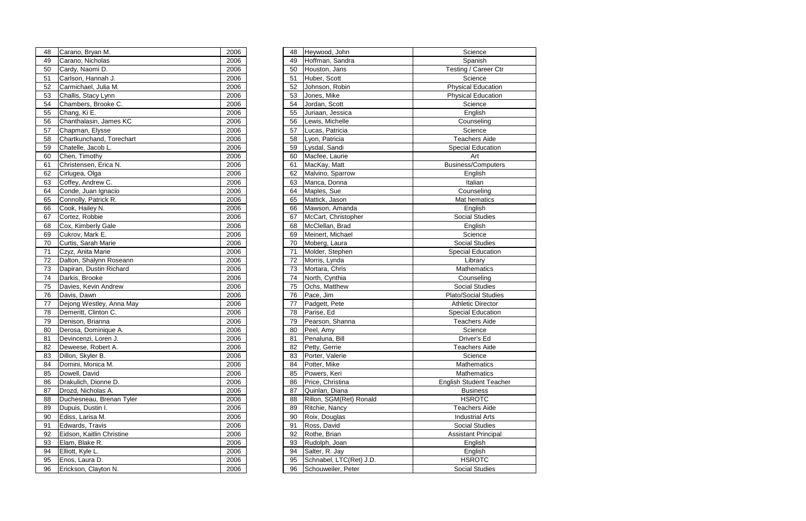| 48 | Carano, Bryan M.          | 2006 | 48 | Heywood, John           | Science                   |
|----|---------------------------|------|----|-------------------------|---------------------------|
| 49 | Carano, Nicholas          | 2006 | 49 | Hoffman, Sandra         | Spanish                   |
| 50 | Cardy, Naomi D.           | 2006 | 50 | Houston, Jans           | Testing / Career          |
| 51 | Carlson, Hannah J.        | 2006 | 51 | Huber, Scott            | Science                   |
| 52 | Carmichael, Julia M.      | 2006 | 52 | Johnson, Robin          | <b>Physical Educat</b>    |
| 53 | Challis, Stacy Lynn       | 2006 | 53 | Jones, Mike             | <b>Physical Educat</b>    |
| 54 | Chambers, Brooke C.       | 2006 | 54 | Jordan, Scott           | Science                   |
| 55 | Chang, Ki E.              | 2006 | 55 | Juriaan, Jessica        | English                   |
| 56 | Chanthalasin, James KC    | 2006 | 56 | Lewis, Michelle         | Counseling                |
| 57 | Chapman, Elysse           | 2006 | 57 | Lucas, Patricia         | Science                   |
| 58 | Chartkunchand, Torechart  | 2006 | 58 | Lyon, Patricia          | Teachers Aid              |
| 59 | Chatelle, Jacob L.        | 2006 | 59 | Lysdal, Sandi           | <b>Special Educati</b>    |
| 60 | Chen, Timothy             | 2006 | 60 | Macfee, Laurie          | Art                       |
| 61 | Christensen, Erica N.     | 2006 | 61 | MacKay, Matt            | Business/Compu            |
| 62 | Cirlugea, Olga            | 2006 | 62 | Malvino, Sparrow        | English                   |
| 63 | Coffey, Andrew C.         | 2006 | 63 | Manca, Donna            | Italian                   |
| 64 | Conde, Juan Ignacio       | 2006 | 64 | Maples, Sue             | Counseling                |
| 65 | Connolly, Patrick R.      | 2006 | 65 | Mattick, Jason          | Mat hematics              |
| 66 | Cook, Hailey N.           | 2006 | 66 | Mawson, Amanda          | English                   |
| 67 | Cortez, Robbie            | 2006 | 67 | McCart, Christopher     | Social Studies            |
| 68 | Cox, Kimberly Gale        | 2006 | 68 | McClellan, Brad         | English                   |
| 69 | Cukrov, Mark E.           | 2006 | 69 | Meinert, Michael        | Science                   |
| 70 | Curtis, Sarah Marie       | 2006 | 70 | Moberg, Laura           | Social Studies            |
| 71 | Czyz, Anita Marie         | 2006 | 71 | Molder, Stephen         | <b>Special Educati</b>    |
| 72 | Dalton, Shalynn Roseann   | 2006 | 72 | Morris, Lynda           | Library                   |
| 73 | Dapiran, Dustin Richard   | 2006 | 73 | Mortara, Chris          | Mathematics               |
| 74 | Darkis, Brooke            | 2006 | 74 | North, Cynthia          | Counseling                |
| 75 | Davies, Kevin Andrew      | 2006 | 75 | Ochs, Matthew           | Social Studies            |
| 76 | Davis, Dawn               | 2006 | 76 | Pace, Jim               | Plato/Social Stud         |
| 77 | Dejong Westley, Anna May  | 2006 | 77 | Padgett, Pete           | <b>Athletic Directo</b>   |
| 78 | Demeritt, Clinton C.      | 2006 | 78 | Parise, Ed              | <b>Special Educati</b>    |
| 79 | Denison, Brianna          | 2006 | 79 | Pearson, Shanna         | Teachers Aid              |
| 80 | Derosa, Dominique A.      | 2006 | 80 | Peel, Amy               | Science                   |
| 81 | Devincenzi, Loren J.      | 2006 | 81 | Penaluna, Bill          | Driver's Ed               |
| 82 | Deweese, Robert A.        | 2006 | 82 | Petty, Gerrie           | Teachers Aid              |
| 83 | Dillon, Skyler B.         | 2006 | 83 | Porter, Valerie         | Science                   |
| 84 | Domini, Monica M.         | 2006 | 84 | Potter, Mike            | Mathematics               |
| 85 | Dowell, David             | 2006 | 85 | Powers, Keri            | Mathematics               |
| 86 | Drakulich, Dionne D.      | 2006 | 86 | Price, Christina        | <b>English Student Te</b> |
| 87 | Drozd, Nicholas A.        | 2006 | 87 | Quinlan, Diana          | <b>Business</b>           |
| 88 | Duchesneau, Brenan Tyler  | 2006 | 88 | Rillon, SGM(Ret) Ronald | <b>HSROTC</b>             |
| 89 | Dupuis, Dustin I.         | 2006 | 89 | Ritchie, Nancy          | Teachers Aid              |
| 90 | Ediss, Larisa M.          | 2006 | 90 | Roix, Douglas           | <b>Industrial Arts</b>    |
| 91 | Edwards, Travis           | 2006 | 91 | Ross, David             | Social Studies            |
| 92 | Eidson, Kaitlin Christine | 2006 | 92 | Rothe, Brian            | <b>Assistant Princi</b>   |
| 93 | Elam, Blake R.            | 2006 | 93 | Rudolph, Joan           | English                   |
| 94 | Elliott, Kyle L.          | 2006 | 94 | Salter, R. Jay          | English                   |
| 95 | Enos, Laura D.            | 2006 | 95 | Schnabel, LTC(Ret) J.D. | <b>HSROTC</b>             |
| 96 | Erickson, Clayton N.      | 2006 | 96 | Schouweiler, Peter      | Social Studies            |

| 48 | Carano, Bryan M.          | 2006 | 48 | Heywood, John           | Science                        |
|----|---------------------------|------|----|-------------------------|--------------------------------|
| 49 | Carano, Nicholas          | 2006 | 49 | Hoffman, Sandra         | Spanish                        |
| 50 | Cardy, Naomi D.           | 2006 | 50 | Houston, Jans           | Testing / Career Ctr           |
| 51 | Carlson, Hannah J.        | 2006 | 51 | Huber, Scott            | Science                        |
| 52 | Carmichael, Julia M.      | 2006 | 52 | Johnson, Robin          | <b>Physical Education</b>      |
| 53 | Challis, Stacy Lynn       | 2006 | 53 | Jones, Mike             | <b>Physical Education</b>      |
| 54 | Chambers, Brooke C.       | 2006 | 54 | Jordan, Scott           | Science                        |
| 55 | Chang, Ki E.              | 2006 | 55 | Juriaan, Jessica        | English                        |
| 56 | Chanthalasin, James KC    | 2006 | 56 | Lewis, Michelle         | Counseling                     |
| 57 | Chapman, Elysse           | 2006 | 57 | Lucas, Patricia         | Science                        |
| 58 | Chartkunchand, Torechart  | 2006 | 58 | Lyon, Patricia          | <b>Teachers Aide</b>           |
| 59 | Chatelle, Jacob L.        | 2006 | 59 | Lysdal, Sandi           | <b>Special Education</b>       |
| 60 | Chen, Timothy             | 2006 | 60 | Macfee, Laurie          | Art                            |
| 61 | Christensen, Erica N.     | 2006 | 61 | MacKay, Matt            | <b>Business/Computers</b>      |
| 62 | Cirlugea, Olga            | 2006 | 62 | Malvino, Sparrow        | English                        |
| 63 | Coffey, Andrew C.         | 2006 | 63 | Manca, Donna            | Italian                        |
| 64 | Conde, Juan Ignacio       | 2006 | 64 | Maples, Sue             | Counseling                     |
| 65 | Connolly, Patrick R.      | 2006 | 65 | Mattick, Jason          | Mat hematics                   |
| 66 | Cook, Hailey N.           | 2006 | 66 | Mawson, Amanda          | English                        |
| 67 | Cortez, Robbie            | 2006 | 67 | McCart, Christopher     | <b>Social Studies</b>          |
| 68 | Cox, Kimberly Gale        | 2006 | 68 | McClellan, Brad         | English                        |
| 69 | Cukrov, Mark E.           | 2006 | 69 | Meinert, Michael        | Science                        |
| 70 | Curtis, Sarah Marie       | 2006 | 70 | Moberg, Laura           | <b>Social Studies</b>          |
| 71 | Czyz, Anita Marie         | 2006 | 71 | Molder, Stephen         | <b>Special Education</b>       |
| 72 | Dalton, Shalynn Roseann   | 2006 | 72 | Morris, Lynda           | Library                        |
| 73 | Dapiran, Dustin Richard   | 2006 | 73 | Mortara, Chris          | Mathematics                    |
| 74 | Darkis, Brooke            | 2006 | 74 | North, Cynthia          | Counseling                     |
| 75 | Davies, Kevin Andrew      | 2006 | 75 | Ochs, Matthew           | <b>Social Studies</b>          |
| 76 | Davis, Dawn               | 2006 | 76 | Pace, Jim               | <b>Plato/Social Studies</b>    |
| 77 | Dejong Westley, Anna May  | 2006 | 77 | Padgett, Pete           | <b>Athletic Director</b>       |
| 78 | Demeritt, Clinton C.      | 2006 | 78 | Parise, Ed              | <b>Special Education</b>       |
| 79 | Denison, Brianna          | 2006 | 79 | Pearson, Shanna         | <b>Teachers Aide</b>           |
| 80 | Derosa, Dominique A.      | 2006 | 80 | Peel, Amy               | Science                        |
| 81 | Devincenzi, Loren J.      | 2006 | 81 | Penaluna, Bill          | Driver's Ed                    |
| 82 | Deweese, Robert A.        | 2006 | 82 | Petty, Gerrie           | <b>Teachers Aide</b>           |
| 83 | Dillon, Skyler B.         | 2006 | 83 | Porter, Valerie         | Science                        |
| 84 | Domini, Monica M.         | 2006 | 84 | Potter, Mike            | Mathematics                    |
| 85 | Dowell, David             | 2006 | 85 | Powers, Keri            | Mathematics                    |
| 86 | Drakulich, Dionne D.      | 2006 | 86 | Price, Christina        | <b>English Student Teacher</b> |
| 87 | Drozd, Nicholas A.        | 2006 | 87 | Quinlan, Diana          | <b>Business</b>                |
| 88 | Duchesneau, Brenan Tyler  | 2006 | 88 | Rillon, SGM(Ret) Ronald | <b>HSROTC</b>                  |
| 89 | Dupuis, Dustin I.         | 2006 | 89 | Ritchie, Nancy          | <b>Teachers Aide</b>           |
| 90 | Ediss, Larisa M.          | 2006 | 90 | Roix, Douglas           | <b>Industrial Arts</b>         |
| 91 | Edwards, Travis           | 2006 | 91 | Ross, David             | <b>Social Studies</b>          |
| 92 | Eidson, Kaitlin Christine | 2006 | 92 | Rothe, Brian            | <b>Assistant Principal</b>     |
| 93 | Elam, Blake R.            | 2006 | 93 | Rudolph, Joan           | English                        |
| 94 | Elliott, Kyle L.          | 2006 | 94 | Salter, R. Jay          | English                        |
| 95 | Enos, Laura D.            | 2006 | 95 | Schnabel, LTC(Ret) J.D. | <b>HSROTC</b>                  |
| 96 | Erickson, Clayton N.      | 2006 | 96 | Schouweiler, Peter      | <b>Social Studies</b>          |
|    |                           |      |    |                         |                                |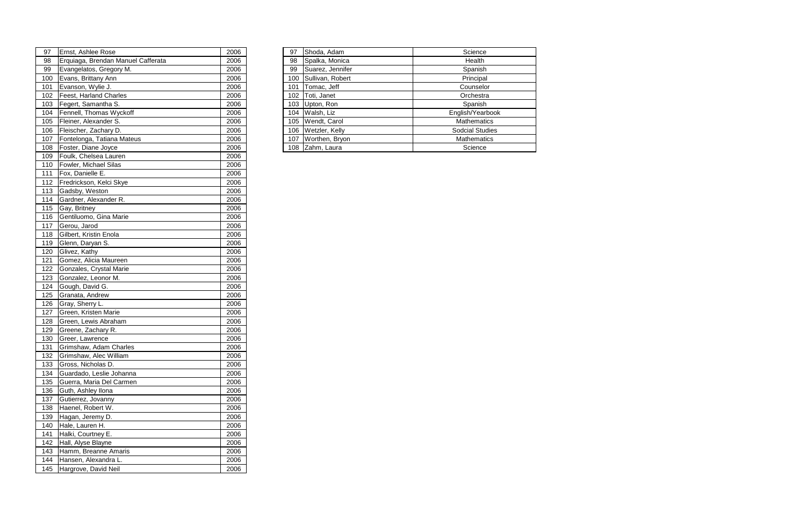| 97 | Ernst, Ashlee Rose                 | 2006 | 97 | Shoda, Adam          | Science                |
|----|------------------------------------|------|----|----------------------|------------------------|
| 98 | Erquiaga, Brendan Manuel Cafferata | 2006 | 98 | Spalka, Monica       | Health                 |
| 99 | Evangelatos, Gregory M.            | 2006 | 99 | Suarez, Jennifer     | Spanish                |
|    | 100 Evans, Brittany Ann            | 2006 |    | 100 Sullivan, Robert | Principal              |
|    | 101   Evanson, Wylie J.            | 2006 |    | 101   Tomac, Jeff    | Counselor              |
|    | 102   Feest, Harland Charles       | 2006 |    | 102 Toti, Janet      | Orchestra              |
|    | 103 Fegert, Samantha S.            | 2006 |    | 103 Upton, Ron       | Spanish                |
|    | 104 Fennell, Thomas Wyckoff        | 2006 |    | 104 Walsh, Liz       | English/Yearbook       |
|    | 105 Fleiner, Alexander S.          | 2006 |    | 105 Wendt, Carol     | <b>Mathematics</b>     |
|    | 106 Fleischer, Zachary D.          | 2006 |    | 106 Wetzler, Kelly   | <b>Sodcial Studies</b> |
|    | 107 Fontelonga, Tatiana Mateus     | 2006 |    | 107 Worthen, Bryon   | <b>Mathematics</b>     |
|    | 108   Foster, Diane Joyce          | 2006 |    | 108 Zahm, Laura      | Science                |
|    |                                    |      |    |                      |                        |

| 97  | Ernst, Ashlee Rose                 | 2006 | 97  | Shoda, Adam          | Science       |
|-----|------------------------------------|------|-----|----------------------|---------------|
| 98  | Erquiaga, Brendan Manuel Cafferata | 2006 | 98  | Spalka, Monica       | Health        |
| 99  | Evangelatos, Gregory M.            | 2006 | 99  | Suarez, Jennifer     | Spanish       |
| 100 | Evans, Brittany Ann                | 2006 | 100 | Sullivan, Robert     | Principal     |
| 101 | Evanson, Wylie J.                  | 2006 | 101 | Tomac, Jeff          | Counselor     |
| 102 | Feest, Harland Charles             | 2006 | 102 | Toti, Janet          | Orchestra     |
| 103 | Fegert, Samantha S.                | 2006 | 103 | Upton, Ron           | Spanish       |
| 104 | Fennell, Thomas Wyckoff            | 2006 | 104 | Walsh, Liz           | English/Yearb |
| 105 | Fleiner, Alexander S.              | 2006 |     | 105 Wendt, Carol     | Mathematic    |
| 106 | Fleischer, Zachary D.              | 2006 |     | 106   Wetzler, Kelly | Sodcial Stud  |
| 107 | Fontelonga, Tatiana Mateus         | 2006 | 107 | Worthen, Bryon       | Mathematic    |
| 108 | Foster, Diane Joyce                | 2006 |     | 108 Zahm, Laura      | Science       |
| 109 | Foulk, Chelsea Lauren              | 2006 |     |                      |               |
| 110 | Fowler, Michael Silas              | 2006 |     |                      |               |
| 111 | Fox, Danielle E.                   | 2006 |     |                      |               |
| 112 | Fredrickson, Kelci Skye            | 2006 |     |                      |               |
| 113 | Gadsby, Weston                     | 2006 |     |                      |               |
| 114 | Gardner, Alexander R.              | 2006 |     |                      |               |
| 115 | Gay, Britney                       | 2006 |     |                      |               |
| 116 | Gentiluomo, Gina Marie             | 2006 |     |                      |               |
| 117 | Gerou, Jarod                       | 2006 |     |                      |               |
| 118 | Gilbert, Kristin Enola             | 2006 |     |                      |               |
| 119 | Glenn, Daryan S.                   | 2006 |     |                      |               |
| 120 | Glivez, Kathy                      | 2006 |     |                      |               |
| 121 | Gomez, Alicia Maureen              | 2006 |     |                      |               |
| 122 | Gonzales, Crystal Marie            | 2006 |     |                      |               |
| 123 | Gonzalez, Leonor M.                | 2006 |     |                      |               |
| 124 | Gough, David G.                    | 2006 |     |                      |               |
| 125 | Granata, Andrew                    | 2006 |     |                      |               |
| 126 | Gray, Sherry L.                    | 2006 |     |                      |               |
| 127 | Green, Kristen Marie               | 2006 |     |                      |               |
| 128 | Green, Lewis Abraham               | 2006 |     |                      |               |
| 129 | Greene, Zachary R.                 | 2006 |     |                      |               |
| 130 | Greer, Lawrence                    | 2006 |     |                      |               |
| 131 | Grimshaw, Adam Charles             | 2006 |     |                      |               |
| 132 | Grimshaw, Alec William             | 2006 |     |                      |               |
| 133 | Gross, Nicholas D.                 | 2006 |     |                      |               |
| 134 | Guardado, Leslie Johanna           | 2006 |     |                      |               |
| 135 | Guerra, Maria Del Carmen           | 2006 |     |                      |               |
| 136 | Guth, Ashley Ilona                 | 2006 |     |                      |               |
| 137 | Gutierrez, Jovanny                 | 2006 |     |                      |               |
| 138 | Haenel, Robert W.                  | 2006 |     |                      |               |
| 139 | Hagan, Jeremy D.                   | 2006 |     |                      |               |
| 140 | Hale, Lauren H.                    | 2006 |     |                      |               |
| 141 | Halki, Courtney E.                 | 2006 |     |                      |               |
| 142 | Hall, Alyse Blayne                 | 2006 |     |                      |               |
| 143 | Hamm, Breanne Amaris               | 2006 |     |                      |               |
| 144 | Hansen, Alexandra L.               | 2006 |     |                      |               |
| 145 | Hargrove, David Neil               | 2006 |     |                      |               |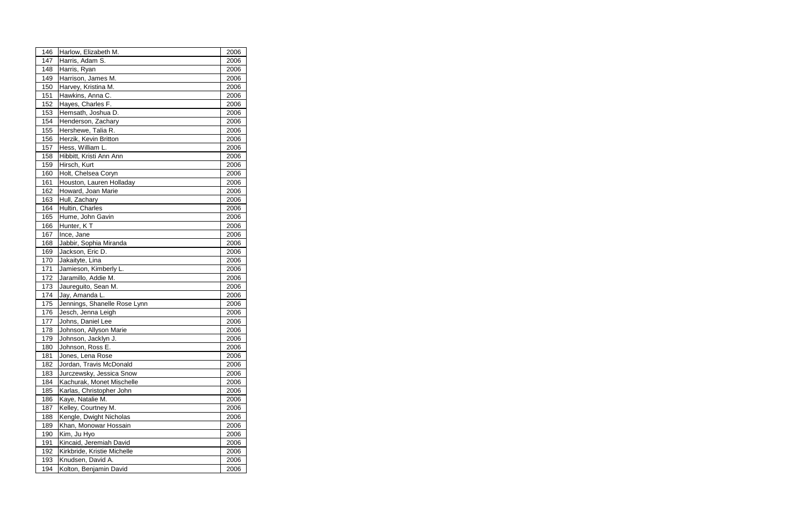| 146        | Harlow, Elizabeth M.                        | 2006         |  |
|------------|---------------------------------------------|--------------|--|
| 147        | Harris, Adam S.                             | 2006         |  |
| 148        | Harris, Ryan                                | 2006         |  |
| 149        | Harrison, James M.                          | 2006         |  |
| 150        | Harvey, Kristina M.                         | 2006         |  |
| 151        | Hawkins, Anna C.                            | 2006         |  |
| 152        | Hayes, Charles F.                           | 2006         |  |
| 153        | Hemsath, Joshua D.                          | 2006         |  |
| 154        | Henderson, Zachary                          | 2006         |  |
| 155        | Hershewe, Talia R.                          | 2006         |  |
| 156        | Herzik, Kevin Britton                       | 2006         |  |
| 157        | Hess, William L.                            | 2006         |  |
| 158        | Hibbitt, Kristi Ann Ann                     | 2006         |  |
| 159        | Hirsch, Kurt                                | 2006         |  |
| 160        | Holt, Chelsea Coryn                         | 2006         |  |
| 161        | Houston, Lauren Holladay                    | 2006         |  |
| 162        | Howard, Joan Marie                          | 2006         |  |
| 163        | Hull, Zachary                               | 2006         |  |
| 164        | Hultin, Charles                             | 2006         |  |
| 165        | Hume, John Gavin                            | 2006         |  |
| 166        | Hunter, KT                                  | 2006         |  |
| 167        | Ince, Jane                                  | 2006         |  |
| 168        | Jabbir, Sophia Miranda                      | 2006         |  |
| 169        | Jackson, Eric D.                            | 2006         |  |
| 170        | Jakaityte, Lina                             | 2006         |  |
| 171        | Jamieson, Kimberly L.                       | 2006         |  |
| 172        | Jaramillo, Addie M.                         | 2006         |  |
| 173        | Jaureguito, Sean M.                         | 2006         |  |
| 174        | Jay, Amanda L.                              | 2006         |  |
| 175        | Jennings, Shanelle Rose Lynn                | 2006         |  |
| 176        | Jesch, Jenna Leigh                          | 2006         |  |
| 177        | Johns, Daniel Lee                           | 2006         |  |
| 178        | Johnson, Allyson Marie                      | 2006         |  |
| 179        | Johnson, Jacklyn J.                         | 2006         |  |
| 180        | Johnson, Ross E.                            | 2006         |  |
| 181<br>182 | Jones, Lena Rose<br>Jordan, Travis McDonald | 2006<br>2006 |  |
| 183        | Jurczewsky, Jessica Snow                    |              |  |
|            | Kachurak, Monet Mischelle                   | 2006         |  |
| 184<br>185 | Karlas, Christopher John                    | 2006<br>2006 |  |
| 186        | Kaye, Natalie M.                            | 2006         |  |
| 187        | Kelley, Courtney M.                         | 2006         |  |
| 188        | Kengle, Dwight Nicholas                     | 2006         |  |
| 189        | Khan, Monowar Hossain                       | 2006         |  |
| 190        | Kim, Ju Hyo                                 | 2006         |  |
| 191        | Kincaid, Jeremiah David                     | 2006         |  |
| 192        | Kirkbride, Kristie Michelle                 | 2006         |  |
| 193        | Knudsen, David A.                           | 2006         |  |
| 194        | Kolton, Benjamin David                      | 2006         |  |
|            |                                             |              |  |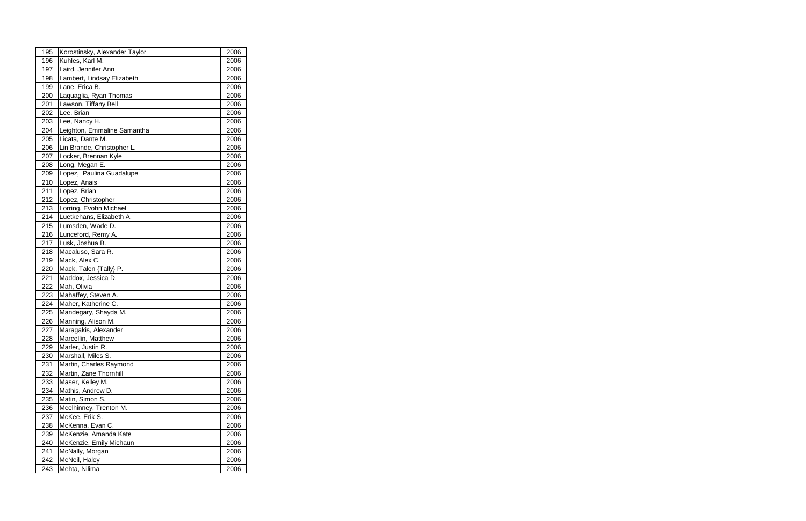| 195 | Korostinsky, Alexander Taylor | 2006 |  |
|-----|-------------------------------|------|--|
| 196 | Kuhles, Karl M.               | 2006 |  |
| 197 | Laird, Jennifer Ann           | 2006 |  |
| 198 | Lambert, Lindsay Elizabeth    | 2006 |  |
| 199 | Lane, Erica B.                | 2006 |  |
| 200 | Laquaglia, Ryan Thomas        | 2006 |  |
| 201 | Lawson, Tiffany Bell          | 2006 |  |
| 202 | Lee, Brian                    | 2006 |  |
| 203 | Lee, Nancy H.                 | 2006 |  |
| 204 | Leighton, Emmaline Samantha   | 2006 |  |
| 205 | Licata, Dante M.              | 2006 |  |
| 206 | Lin Brande, Christopher L.    | 2006 |  |
| 207 | Locker, Brennan Kyle          | 2006 |  |
| 208 | Long, Megan E.                | 2006 |  |
| 209 | Lopez, Paulina Guadalupe      | 2006 |  |
| 210 | Lopez, Anais                  | 2006 |  |
| 211 | Lopez, Brian                  | 2006 |  |
| 212 | Lopez, Christopher            | 2006 |  |
| 213 | Lorring, Evohn Michael        | 2006 |  |
| 214 | Luetkehans, Elizabeth A.      | 2006 |  |
| 215 | Lumsden, Wade D.              | 2006 |  |
| 216 | Lunceford, Remy A.            | 2006 |  |
| 217 | Lusk, Joshua B.               | 2006 |  |
| 218 | Macaluso, Sara R.             | 2006 |  |
| 219 | Mack, Alex C.                 | 2006 |  |
| 220 | Mack, Talen {Tally} P.        | 2006 |  |
| 221 | Maddox, Jessica D.            | 2006 |  |
| 222 | Mah, Olivia                   | 2006 |  |
| 223 | Mahaffey, Steven A.           | 2006 |  |
| 224 | Maher, Katherine C.           | 2006 |  |
| 225 | Mandegary, Shayda M.          | 2006 |  |
| 226 | Manning, Alison M.            | 2006 |  |
| 227 | Maragakis, Alexander          | 2006 |  |
| 228 | Marcellin, Matthew            | 2006 |  |
| 229 | Marler, Justin R.             | 2006 |  |
| 230 | Marshall, Miles S.            | 2006 |  |
| 231 | Martin, Charles Raymond       | 2006 |  |
| 232 | Martin, Zane Thornhill        | 2006 |  |
| 233 | Maser, Kelley M.              | 2006 |  |
| 234 | Mathis, Andrew D.             | 2006 |  |
| 235 | Matin, Simon S.               | 2006 |  |
| 236 | Mcelhinney, Trenton M.        | 2006 |  |
| 237 | McKee, Erik S.                | 2006 |  |
| 238 | McKenna, Evan C.              | 2006 |  |
| 239 | McKenzie, Amanda Kate         | 2006 |  |
| 240 | McKenzie, Emily Michaun       | 2006 |  |
| 241 | McNally, Morgan               | 2006 |  |
| 242 | McNeil, Haley                 | 2006 |  |
| 243 | Mehta, Nilima                 | 2006 |  |
|     |                               |      |  |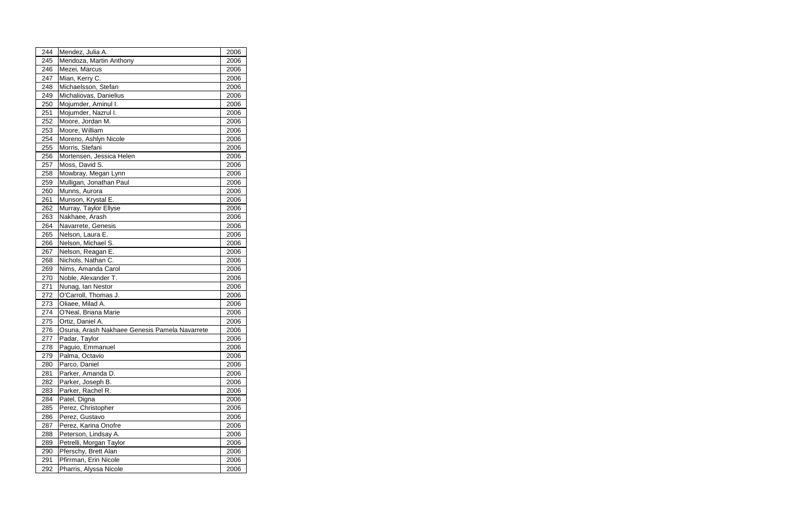| 244 | Mendez, Julia A.                              | 2006 |  |
|-----|-----------------------------------------------|------|--|
| 245 | Mendoza, Martin Anthony                       | 2006 |  |
| 246 | Mezei, Marcus                                 | 2006 |  |
| 247 | Mian, Kerry C.                                | 2006 |  |
| 248 | Michaelsson, Stefan                           | 2006 |  |
| 249 | Michaliovas, Danielius                        | 2006 |  |
| 250 | Mojumder, Aminul I.                           | 2006 |  |
| 251 | Mojumder, Nazrul I.                           | 2006 |  |
| 252 | Moore, Jordan M.                              | 2006 |  |
| 253 | Moore, William                                | 2006 |  |
| 254 | Moreno, Ashlyn Nicole                         | 2006 |  |
| 255 | Morris, Stefani                               | 2006 |  |
| 256 | Mortensen, Jessica Helen                      | 2006 |  |
| 257 | Moss, David S.                                | 2006 |  |
| 258 | Mowbray, Megan Lynn                           | 2006 |  |
| 259 | Mulligan, Jonathan Paul                       | 2006 |  |
| 260 | Munns, Aurora                                 | 2006 |  |
| 261 | Munson, Krystal E.                            | 2006 |  |
| 262 | Murray, Taylor Ellyse                         | 2006 |  |
| 263 | Nakhaee, Arash                                | 2006 |  |
| 264 | Navarrete, Genesis                            | 2006 |  |
| 265 | Nelson, Laura E.                              | 2006 |  |
| 266 | Nelson, Michael S.                            | 2006 |  |
| 267 | Nelson, Reagan E.                             | 2006 |  |
| 268 | Nichols, Nathan C.                            | 2006 |  |
| 269 | Nims, Amanda Carol                            | 2006 |  |
| 270 | Noble, Alexander T.                           | 2006 |  |
| 271 | Nunag, Ian Nestor                             | 2006 |  |
| 272 | O'Carroll, Thomas J.                          | 2006 |  |
| 273 | Oliaee, Milad A.                              | 2006 |  |
| 274 | O'Neal, Briana Marie                          | 2006 |  |
| 275 | Ortiz, Daniel A.                              | 2006 |  |
| 276 | Osuna, Arash Nakhaee Genesis Pamela Navarrete | 2006 |  |
| 277 | Padar, Taylor                                 | 2006 |  |
| 278 | Paguio, Emmanuel                              | 2006 |  |
| 279 | Palma, Octavio                                | 2006 |  |
| 280 | Parco, Daniel                                 | 2006 |  |
| 281 | Parker, Amanda D.                             | 2006 |  |
| 282 | Parker, Joseph B.                             | 2006 |  |
| 283 | Parker, Rachel R.                             | 2006 |  |
| 284 | Patel, Digna                                  | 2006 |  |
| 285 | Perez, Christopher                            | 2006 |  |
| 286 | Perez, Gustavo                                | 2006 |  |
| 287 | Perez, Karina Onofre                          | 2006 |  |
| 288 | Peterson, Lindsay A.                          | 2006 |  |
| 289 | Petrelli, Morgan Taylor                       | 2006 |  |
| 290 | Pferschy, Brett Alan                          | 2006 |  |
| 291 | Pfirrman, Erin Nicole                         | 2006 |  |
| 292 | Pharris, Alyssa Nicole                        | 2006 |  |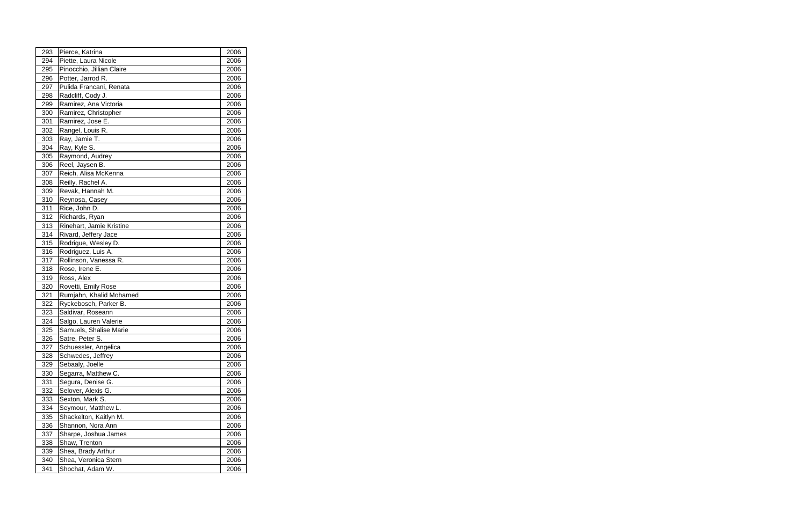| 293        | Pierce, Katrina                        | 2006         |  |
|------------|----------------------------------------|--------------|--|
| 294        | Piette, Laura Nicole                   | 2006         |  |
| 295        | Pinocchio, Jillian Claire              | 2006         |  |
| 296        | Potter, Jarrod R.                      | 2006         |  |
| 297        | Pulida Francani, Renata                | 2006         |  |
| 298        | Radcliff, Cody J.                      | 2006         |  |
| 299        | Ramirez, Ana Victoria                  | 2006         |  |
| 300        | Ramirez, Christopher                   | 2006         |  |
| 301        | Ramirez, Jose E.                       | 2006         |  |
| 302        | Rangel, Louis R.                       | 2006         |  |
| 303        | Ray, Jamie T.                          | 2006         |  |
| 304        | Ray, Kyle S.                           | 2006         |  |
| 305        | Raymond, Audrey                        | 2006         |  |
| 306        | Reel, Jaysen B.                        | 2006         |  |
| 307        | Reich, Alisa McKenna                   | 2006         |  |
| 308        | Reilly, Rachel A.                      | 2006         |  |
| 309        | Revak, Hannah M.                       | 2006         |  |
| 310        | Reynosa, Casey                         | 2006         |  |
| 311        | Rice, John D.                          | 2006         |  |
| 312        | Richards, Ryan                         | 2006         |  |
| 313        | Rinehart, Jamie Kristine               | 2006         |  |
| 314        | Rivard, Jeffery Jace                   | 2006         |  |
| 315        | Rodrigue, Wesley D.                    | 2006         |  |
| 316        | Rodriguez, Luis A.                     | 2006         |  |
| 317        | Rollinson, Vanessa R.                  | 2006         |  |
| 318        | Rose, Irene E.                         | 2006         |  |
| 319        | Ross, Alex                             | 2006         |  |
| 320        | Rovetti, Emily Rose                    | 2006         |  |
| 321        | Rumjahn, Khalid Mohamed                | 2006         |  |
| 322        | Ryckebosch, Parker B.                  | 2006         |  |
| 323        | Saldivar, Roseann                      | 2006         |  |
| 324        | Salgo, Lauren Valerie                  | 2006         |  |
| 325        | Samuels, Shalise Marie                 | 2006         |  |
| 326        | Satre, Peter S.                        | 2006         |  |
| 327        | Schuessler, Angelica                   | 2006<br>2006 |  |
| 328<br>329 | Schwedes, Jeffrey                      |              |  |
| 330        | Sebaaly, Joelle<br>Segarra, Matthew C. | 2006<br>2006 |  |
| 331        | Segura, Denise G.                      | 2006         |  |
| 332        | Selover, Alexis G.                     | 2006         |  |
| 333        | Sexton, Mark S.                        | 2006         |  |
| 334        | Seymour, Matthew L.                    | 2006         |  |
| 335        | Shackelton, Kaitlyn M.                 | 2006         |  |
| 336        | Shannon, Nora Ann                      | 2006         |  |
| 337        | Sharpe, Joshua James                   | 2006         |  |
| 338        | Shaw, Trenton                          | 2006         |  |
| 339        | Shea, Brady Arthur                     | 2006         |  |
| 340        | Shea, Veronica Stern                   | 2006         |  |
| 341        | Shochat, Adam W.                       | 2006         |  |
|            |                                        |              |  |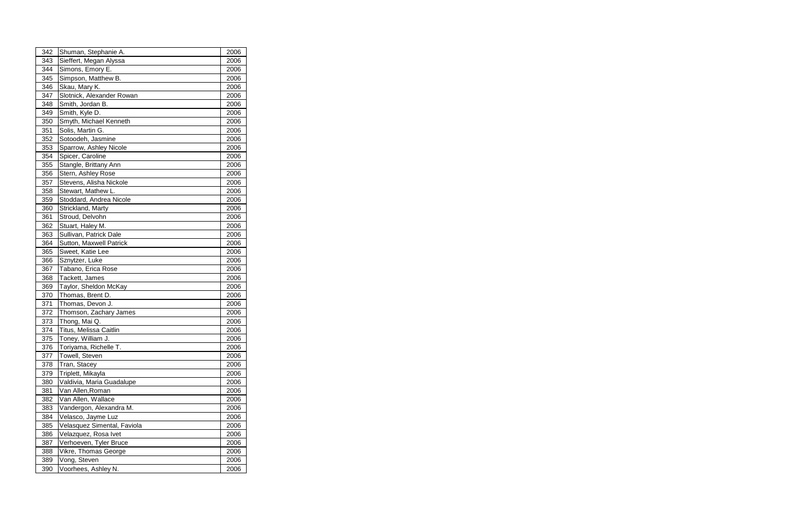| 342 | Shuman, Stephanie A.        | 2006 |  |
|-----|-----------------------------|------|--|
| 343 | Sieffert, Megan Alyssa      | 2006 |  |
| 344 | Simons, Emory E.            | 2006 |  |
| 345 | Simpson, Matthew B.         | 2006 |  |
| 346 | Skau, Mary K.               | 2006 |  |
| 347 | Slotnick, Alexander Rowan   | 2006 |  |
| 348 | Smith, Jordan B.            | 2006 |  |
| 349 | Smith, Kyle D.              | 2006 |  |
| 350 | Smyth, Michael Kenneth      | 2006 |  |
| 351 | Solis, Martin G.            | 2006 |  |
| 352 | Sotoodeh, Jasmine           | 2006 |  |
| 353 | Sparrow, Ashley Nicole      | 2006 |  |
| 354 | Spicer, Caroline            | 2006 |  |
| 355 | Stangle, Brittany Ann       | 2006 |  |
| 356 | Stern, Ashley Rose          | 2006 |  |
| 357 | Stevens, Alisha Nickole     | 2006 |  |
| 358 | Stewart, Mathew L.          | 2006 |  |
| 359 | Stoddard, Andrea Nicole     | 2006 |  |
| 360 | Strickland, Marty           | 2006 |  |
| 361 | Stroud, Delvohn             | 2006 |  |
| 362 | Stuart, Haley M.            | 2006 |  |
| 363 | Sullivan, Patrick Dale      | 2006 |  |
| 364 | Sutton, Maxwell Patrick     | 2006 |  |
| 365 | Sweet, Katie Lee            | 2006 |  |
| 366 | Sznytzer, Luke              | 2006 |  |
| 367 | Tabano, Erica Rose          | 2006 |  |
| 368 | Tackett, James              | 2006 |  |
| 369 | Taylor, Sheldon McKay       | 2006 |  |
| 370 | Thomas, Brent D.            | 2006 |  |
| 371 | Thomas, Devon J.            | 2006 |  |
| 372 | Thomson, Zachary James      | 2006 |  |
| 373 | Thong, Mai Q.               | 2006 |  |
| 374 | Titus, Melissa Caitlin      | 2006 |  |
| 375 | Toney, William J.           | 2006 |  |
| 376 | Toriyama, Richelle T.       | 2006 |  |
| 377 | Towell, Steven              | 2006 |  |
| 378 | Tran, Stacey                | 2006 |  |
| 379 | Triplett, Mikayla           | 2006 |  |
| 380 | Valdivia, Maria Guadalupe   | 2006 |  |
| 381 | Van Allen, Roman            | 2006 |  |
| 382 | Van Allen, Wallace          | 2006 |  |
| 383 | Vandergon, Alexandra M.     | 2006 |  |
| 384 | Velasco, Jayme Luz          | 2006 |  |
| 385 | Velasquez Simental, Faviola | 2006 |  |
| 386 | Velazquez, Rosa Ivet        | 2006 |  |
| 387 | Verhoeven, Tyler Bruce      | 2006 |  |
| 388 | Vikre, Thomas George        | 2006 |  |
| 389 | Vong, Steven                | 2006 |  |
| 390 | Voorhees, Ashley N.         | 2006 |  |